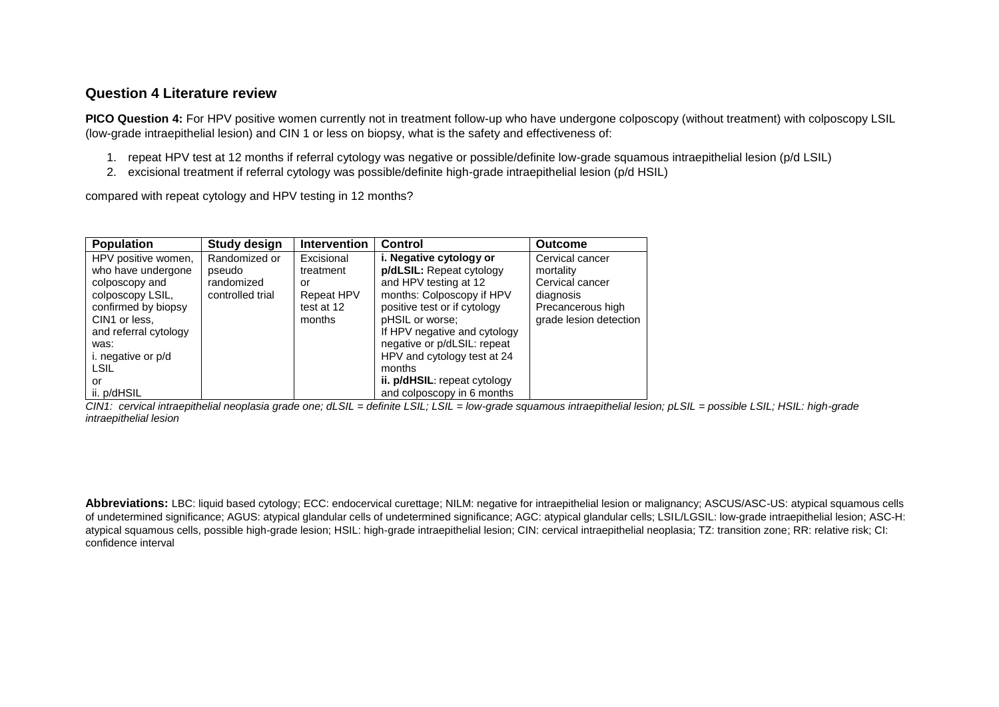# **Question 4 Literature review**

**PICO Question 4:** For HPV positive women currently not in treatment follow-up who have undergone colposcopy (without treatment) with colposcopy LSIL (low-grade intraepithelial lesion) and CIN 1 or less on biopsy, what is the safety and effectiveness of:

- 1. repeat HPV test at 12 months if referral cytology was negative or possible/definite low-grade squamous intraepithelial lesion (p/d LSIL)
- 2. excisional treatment if referral cytology was possible/definite high-grade intraepithelial lesion (p/d HSIL)

compared with repeat cytology and HPV testing in 12 months?

| <b>Population</b>     | <b>Study design</b> | <b>Intervention</b> | <b>Control</b>               | <b>Outcome</b>         |
|-----------------------|---------------------|---------------------|------------------------------|------------------------|
| HPV positive women,   | Randomized or       | Excisional          | i. Negative cytology or      | Cervical cancer        |
| who have undergone    | pseudo              | treatment           | p/dLSIL: Repeat cytology     | mortality              |
| colposcopy and        | randomized          | or                  | and HPV testing at 12        | Cervical cancer        |
| colposcopy LSIL,      | controlled trial    | Repeat HPV          | months: Colposcopy if HPV    | diagnosis              |
| confirmed by biopsy   |                     | test at 12          | positive test or if cytology | Precancerous high      |
| CIN1 or less.         |                     | months              | pHSIL or worse;              | grade lesion detection |
| and referral cytology |                     |                     | If HPV negative and cytology |                        |
| was:                  |                     |                     | negative or p/dLSIL: repeat  |                        |
| i. negative or p/d    |                     |                     | HPV and cytology test at 24  |                        |
| LSIL                  |                     |                     | months                       |                        |
| or                    |                     |                     | ii. p/dHSIL: repeat cytology |                        |
| ii. p/dHSIL           |                     |                     | and colposcopy in 6 months   |                        |

*CIN1: cervical intraepithelial neoplasia grade one; dLSIL = definite LSIL; LSIL = low-grade squamous intraepithelial lesion; pLSIL = possible LSIL; HSIL: high-grade intraepithelial lesion*

**Abbreviations:** LBC: liquid based cytology; ECC: endocervical curettage; NILM: negative for intraepithelial lesion or malignancy; ASCUS/ASC-US: atypical squamous cells of undetermined significance; AGUS: atypical glandular cells of undetermined significance; AGC: atypical glandular cells; LSIL/LGSIL: low-grade intraepithelial lesion; ASC-H: atypical squamous cells, possible high-grade lesion; HSIL: high-grade intraepithelial lesion; CIN: cervical intraepithelial neoplasia; TZ: transition zone; RR: relative risk; CI: confidence interval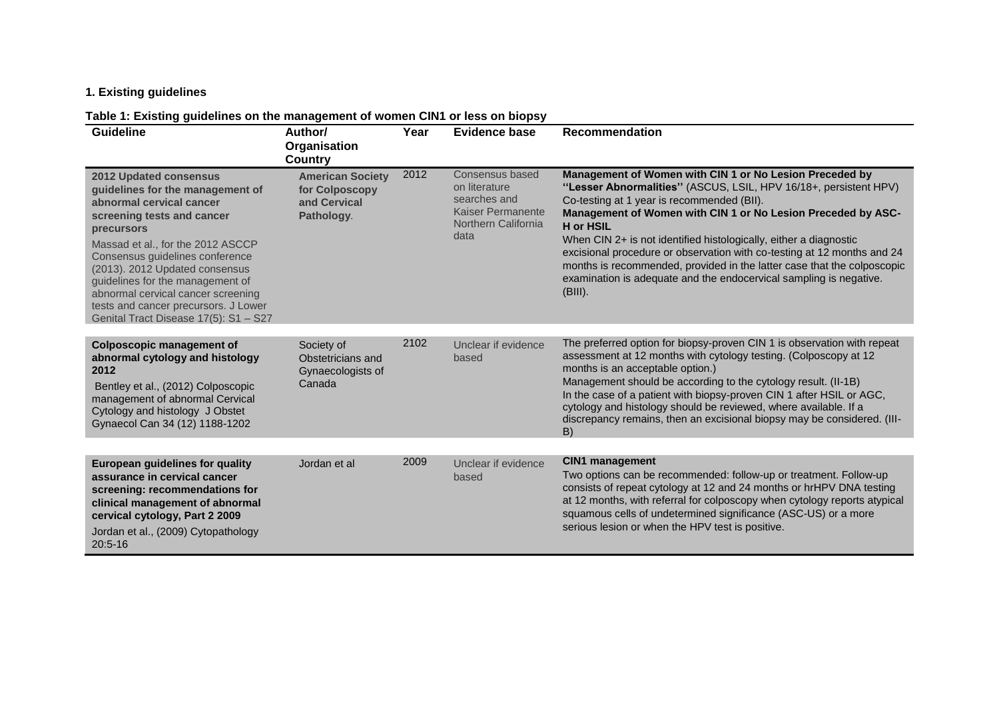# **1. Existing guidelines**

## **Table 1: Existing guidelines on the management of women CIN1 or less on biopsy**

| <b>Guideline</b>                                                                                                                                                                                                                                                                                                                                                                                               | Author/<br>Organisation<br><b>Country</b>                               | Year | <b>Evidence base</b>                                                                                        | <b>Recommendation</b>                                                                                                                                                                                                                                                                                                                                                                                                                                                                                                                                                        |
|----------------------------------------------------------------------------------------------------------------------------------------------------------------------------------------------------------------------------------------------------------------------------------------------------------------------------------------------------------------------------------------------------------------|-------------------------------------------------------------------------|------|-------------------------------------------------------------------------------------------------------------|------------------------------------------------------------------------------------------------------------------------------------------------------------------------------------------------------------------------------------------------------------------------------------------------------------------------------------------------------------------------------------------------------------------------------------------------------------------------------------------------------------------------------------------------------------------------------|
| <b>2012 Updated consensus</b><br>guidelines for the management of<br>abnormal cervical cancer<br>screening tests and cancer<br>precursors<br>Massad et al., for the 2012 ASCCP<br>Consensus guidelines conference<br>(2013). 2012 Updated consensus<br>guidelines for the management of<br>abnormal cervical cancer screening<br>tests and cancer precursors. J Lower<br>Genital Tract Disease 17(5): S1 - S27 | <b>American Society</b><br>for Colposcopy<br>and Cervical<br>Pathology. | 2012 | Consensus based<br>on literature<br>searches and<br><b>Kaiser Permanente</b><br>Northern California<br>data | Management of Women with CIN 1 or No Lesion Preceded by<br>"Lesser Abnormalities" (ASCUS, LSIL, HPV 16/18+, persistent HPV)<br>Co-testing at 1 year is recommended (BII).<br>Management of Women with CIN 1 or No Lesion Preceded by ASC-<br><b>H</b> or HSIL<br>When CIN 2+ is not identified histologically, either a diagnostic<br>excisional procedure or observation with co-testing at 12 months and 24<br>months is recommended, provided in the latter case that the colposcopic<br>examination is adequate and the endocervical sampling is negative.<br>$(BIII)$ . |
| <b>Colposcopic management of</b><br>abnormal cytology and histology<br>2012<br>Bentley et al., (2012) Colposcopic<br>management of abnormal Cervical<br>Cytology and histology J Obstet<br>Gynaecol Can 34 (12) 1188-1202                                                                                                                                                                                      | Society of<br>Obstetricians and<br>Gynaecologists of<br>Canada          | 2102 | Unclear if evidence<br>based                                                                                | The preferred option for biopsy-proven CIN 1 is observation with repeat<br>assessment at 12 months with cytology testing. (Colposcopy at 12<br>months is an acceptable option.)<br>Management should be according to the cytology result. (II-1B)<br>In the case of a patient with biopsy-proven CIN 1 after HSIL or AGC,<br>cytology and histology should be reviewed, where available. If a<br>discrepancy remains, then an excisional biopsy may be considered. (III-<br>B)                                                                                               |
| <b>European guidelines for quality</b><br>assurance in cervical cancer<br>screening: recommendations for<br>clinical management of abnormal<br>cervical cytology, Part 2 2009<br>Jordan et al., (2009) Cytopathology<br>$20:5 - 16$                                                                                                                                                                            | Jordan et al                                                            | 2009 | Unclear if evidence<br>based                                                                                | <b>CIN1</b> management<br>Two options can be recommended: follow-up or treatment. Follow-up<br>consists of repeat cytology at 12 and 24 months or hrHPV DNA testing<br>at 12 months, with referral for colposcopy when cytology reports atypical<br>squamous cells of undetermined significance (ASC-US) or a more<br>serious lesion or when the HPV test is positive.                                                                                                                                                                                                       |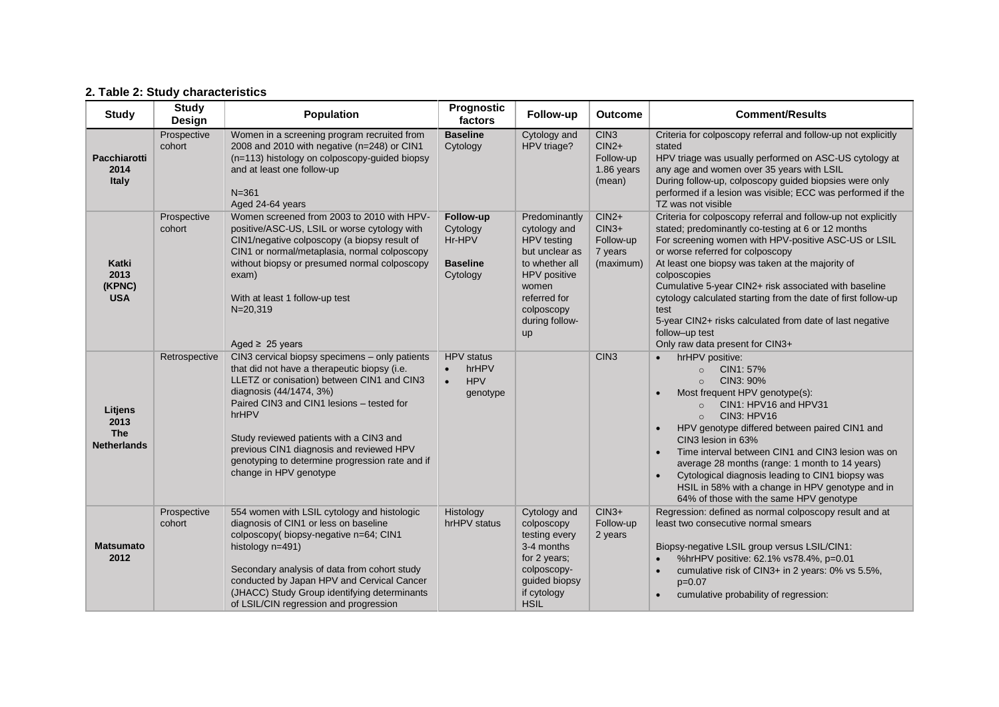# **2. Table 2: Study characteristics**

| <b>Study</b>                                        | <b>Study</b><br><b>Design</b> | <b>Population</b>                                                                                                                                                                                                                                                                                                                                                                                 | Prognostic<br>factors                                             | Follow-up                                                                                                                                                              | <b>Outcome</b>                                                   | <b>Comment/Results</b>                                                                                                                                                                                                                                                                                                                                                                                                                                                                                                                 |
|-----------------------------------------------------|-------------------------------|---------------------------------------------------------------------------------------------------------------------------------------------------------------------------------------------------------------------------------------------------------------------------------------------------------------------------------------------------------------------------------------------------|-------------------------------------------------------------------|------------------------------------------------------------------------------------------------------------------------------------------------------------------------|------------------------------------------------------------------|----------------------------------------------------------------------------------------------------------------------------------------------------------------------------------------------------------------------------------------------------------------------------------------------------------------------------------------------------------------------------------------------------------------------------------------------------------------------------------------------------------------------------------------|
| <b>Pacchiarotti</b><br>2014<br><b>Italy</b>         | Prospective<br>cohort         | Women in a screening program recruited from<br>2008 and 2010 with negative (n=248) or CIN1<br>(n=113) histology on colposcopy-guided biopsy<br>and at least one follow-up<br>$N = 361$<br>Aged 24-64 years                                                                                                                                                                                        | <b>Baseline</b><br>Cytology                                       | Cytology and<br>HPV triage?                                                                                                                                            | CIN <sub>3</sub><br>$CIN2+$<br>Follow-up<br>1.86 years<br>(mean) | Criteria for colposcopy referral and follow-up not explicitly<br>stated<br>HPV triage was usually performed on ASC-US cytology at<br>any age and women over 35 years with LSIL<br>During follow-up, colposcopy guided biopsies were only<br>performed if a lesion was visible; ECC was performed if the<br>TZ was not visible                                                                                                                                                                                                          |
| Katki<br>2013<br>(KPNC)<br><b>USA</b>               | Prospective<br>cohort         | Women screened from 2003 to 2010 with HPV-<br>positive/ASC-US, LSIL or worse cytology with<br>CIN1/negative colposcopy (a biopsy result of<br>CIN1 or normal/metaplasia, normal colposcopy<br>without biopsy or presumed normal colposcopy<br>exam)<br>With at least 1 follow-up test<br>$N = 20,319$<br>Aged $\geq$ 25 years                                                                     | Follow-up<br>Cytology<br>Hr-HPV<br><b>Baseline</b><br>Cytology    | Predominantly<br>cytology and<br>HPV testing<br>but unclear as<br>to whether all<br>HPV positive<br>women<br>referred for<br>colposcopy<br>during follow-<br><b>up</b> | $CIN2+$<br>$CIN3+$<br>Follow-up<br>7 years<br>(maximum)          | Criteria for colposcopy referral and follow-up not explicitly<br>stated; predominantly co-testing at 6 or 12 months<br>For screening women with HPV-positive ASC-US or LSIL<br>or worse referred for colposcopy<br>At least one biopsy was taken at the majority of<br>colposcopies<br>Cumulative 5-year CIN2+ risk associated with baseline<br>cytology calculated starting from the date of first follow-up<br>test<br>5-year CIN2+ risks calculated from date of last negative<br>follow-up test<br>Only raw data present for CIN3+ |
| Litjens<br>2013<br><b>The</b><br><b>Netherlands</b> | Retrospective                 | CIN3 cervical biopsy specimens - only patients<br>that did not have a therapeutic biopsy (i.e.<br>LLETZ or conisation) between CIN1 and CIN3<br>diagnosis (44/1474, 3%)<br>Paired CIN3 and CIN1 lesions - tested for<br>hrHPV<br>Study reviewed patients with a CIN3 and<br>previous CIN1 diagnosis and reviewed HPV<br>genotyping to determine progression rate and if<br>change in HPV genotype | <b>HPV</b> status<br>hrHPV<br>$\bullet$<br><b>HPV</b><br>genotype |                                                                                                                                                                        | CIN <sub>3</sub>                                                 | hrHPV positive:<br>CIN1: 57%<br>$\circ$<br>CIN3: 90%<br>$\circ$<br>Most frequent HPV genotype(s):<br>CIN1: HPV16 and HPV31<br>$\circ$<br>CIN3: HPV16<br>$\circ$<br>HPV genotype differed between paired CIN1 and<br>CIN3 lesion in 63%<br>Time interval between CIN1 and CIN3 lesion was on<br>average 28 months (range: 1 month to 14 years)<br>Cytological diagnosis leading to CIN1 biopsy was<br>HSIL in 58% with a change in HPV genotype and in<br>64% of those with the same HPV genotype                                       |
| <b>Matsumato</b><br>2012                            | Prospective<br>cohort         | 554 women with LSIL cytology and histologic<br>diagnosis of CIN1 or less on baseline<br>colposcopy( biopsy-negative n=64; CIN1<br>histology n=491)<br>Secondary analysis of data from cohort study<br>conducted by Japan HPV and Cervical Cancer<br>(JHACC) Study Group identifying determinants<br>of LSIL/CIN regression and progression                                                        | Histology<br>hrHPV status                                         | Cytology and<br>colposcopy<br>testing every<br>3-4 months<br>for 2 years;<br>colposcopy-<br>guided biopsy<br>if cytology<br><b>HSIL</b>                                | $CIN3+$<br>Follow-up<br>2 years                                  | Regression: defined as normal colposcopy result and at<br>least two consecutive normal smears<br>Biopsy-negative LSIL group versus LSIL/CIN1:<br>%hrHPV positive: 62.1% vs78.4%, p=0.01<br>cumulative risk of CIN3+ in 2 years: 0% vs 5.5%,<br>$p=0.07$<br>cumulative probability of regression:                                                                                                                                                                                                                                       |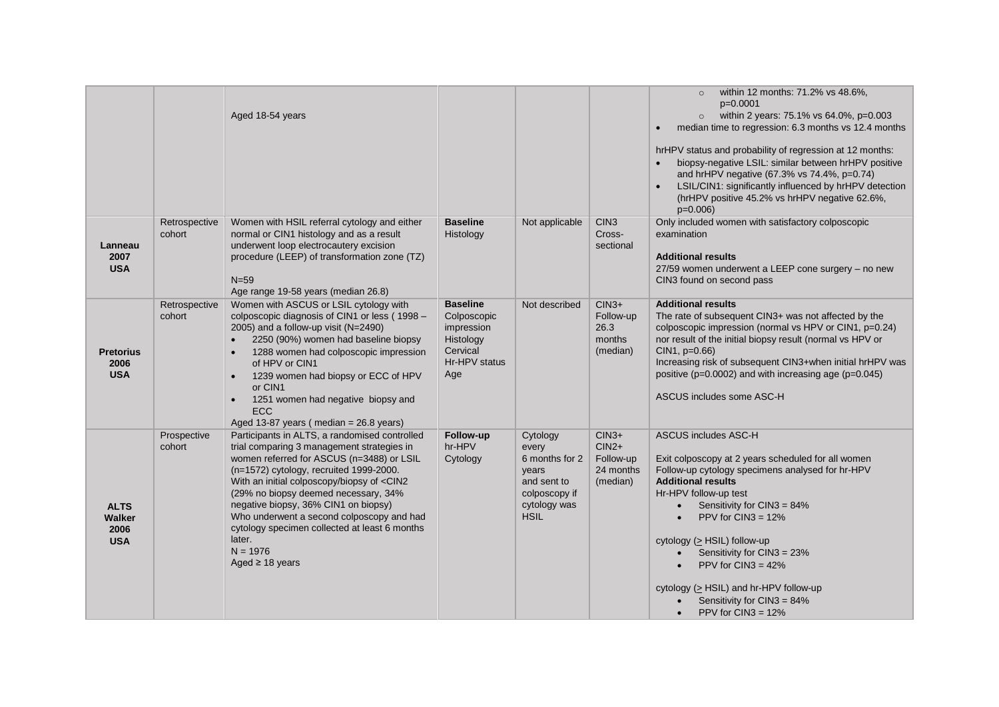|                                                    |                         | Aged 18-54 years                                                                                                                                                                                                                                                                                                                                                                                                                                                                                      |                                                                                               |                                                                                                             |                                                          | within 12 months: 71.2% vs 48.6%,<br>$p=0.0001$<br>within 2 years: 75.1% vs 64.0%, p=0.003<br>median time to regression: 6.3 months vs 12.4 months<br>$\bullet$<br>hrHPV status and probability of regression at 12 months:<br>biopsy-negative LSIL: similar between hrHPV positive<br>and hrHPV negative (67.3% vs 74.4%, p=0.74)<br>LSIL/CIN1: significantly influenced by hrHPV detection<br>$\bullet$<br>(hrHPV positive 45.2% vs hrHPV negative 62.6%,<br>$p=0.006$                           |
|----------------------------------------------------|-------------------------|-------------------------------------------------------------------------------------------------------------------------------------------------------------------------------------------------------------------------------------------------------------------------------------------------------------------------------------------------------------------------------------------------------------------------------------------------------------------------------------------------------|-----------------------------------------------------------------------------------------------|-------------------------------------------------------------------------------------------------------------|----------------------------------------------------------|----------------------------------------------------------------------------------------------------------------------------------------------------------------------------------------------------------------------------------------------------------------------------------------------------------------------------------------------------------------------------------------------------------------------------------------------------------------------------------------------------|
| Lanneau<br>2007<br><b>USA</b>                      | Retrospective<br>cohort | Women with HSIL referral cytology and either<br>normal or CIN1 histology and as a result<br>underwent loop electrocautery excision<br>procedure (LEEP) of transformation zone (TZ)<br>$N = 59$<br>Age range 19-58 years (median 26.8)                                                                                                                                                                                                                                                                 | <b>Baseline</b><br>Histology                                                                  | Not applicable                                                                                              | CIN <sub>3</sub><br>Cross-<br>sectional                  | Only included women with satisfactory colposcopic<br>examination<br><b>Additional results</b><br>27/59 women underwent a LEEP cone surgery - no new<br>CIN3 found on second pass                                                                                                                                                                                                                                                                                                                   |
| <b>Pretorius</b><br>2006<br><b>USA</b>             | Retrospective<br>cohort | Women with ASCUS or LSIL cytology with<br>colposcopic diagnosis of CIN1 or less (1998 -<br>2005) and a follow-up visit (N=2490)<br>2250 (90%) women had baseline biopsy<br>1288 women had colposcopic impression<br>$\bullet$<br>of HPV or CIN1<br>1239 women had biopsy or ECC of HPV<br>or CIN1<br>1251 women had negative biopsy and<br><b>ECC</b><br>Aged 13-87 years (median = 26.8 years)                                                                                                       | <b>Baseline</b><br>Colposcopic<br>impression<br>Histology<br>Cervical<br>Hr-HPV status<br>Age | Not described                                                                                               | $CIN3+$<br>Follow-up<br>26.3<br>months<br>(median)       | <b>Additional results</b><br>The rate of subsequent CIN3+ was not affected by the<br>colposcopic impression (normal vs HPV or CIN1, p=0.24)<br>nor result of the initial biopsy result (normal vs HPV or<br>CIN1, p=0.66)<br>Increasing risk of subsequent CIN3+when initial hrHPV was<br>positive (p=0.0002) and with increasing age (p=0.045)<br>ASCUS includes some ASC-H                                                                                                                       |
| <b>ALTS</b><br><b>Walker</b><br>2006<br><b>USA</b> | Prospective<br>cohort   | Participants in ALTS, a randomised controlled<br>trial comparing 3 management strategies in<br>women referred for ASCUS (n=3488) or LSIL<br>(n=1572) cytology, recruited 1999-2000.<br>With an initial colposcopy/biopsy of <cin2<br>(29% no biopsy deemed necessary, 34%<br/>negative biopsy, 36% CIN1 on biopsy)<br/>Who underwent a second colposcopy and had<br/>cytology specimen collected at least 6 months<br/>later.<br/><math>N = 1976</math><br/>Aged <math>\geq</math> 18 years</cin2<br> | Follow-up<br>hr-HPV<br>Cytology                                                               | Cytology<br>every<br>6 months for 2<br>years<br>and sent to<br>colposcopy if<br>cytology was<br><b>HSIL</b> | $CIN3+$<br>$CIN2+$<br>Follow-up<br>24 months<br>(median) | <b>ASCUS includes ASC-H</b><br>Exit colposcopy at 2 years scheduled for all women<br>Follow-up cytology specimens analysed for hr-HPV<br><b>Additional results</b><br>Hr-HPV follow-up test<br>Sensitivity for CIN3 = 84%<br>$\bullet$<br>PPV for $CIN3 = 12\%$<br>$\bullet$<br>cytology (> HSIL) follow-up<br>Sensitivity for CIN3 = 23%<br>$\bullet$<br>PPV for $CIN3 = 42\%$<br>cytology ( $\geq$ HSIL) and hr-HPV follow-up<br>Sensitivity for CIN3 = 84%<br>PPV for $CIN3 = 12%$<br>$\bullet$ |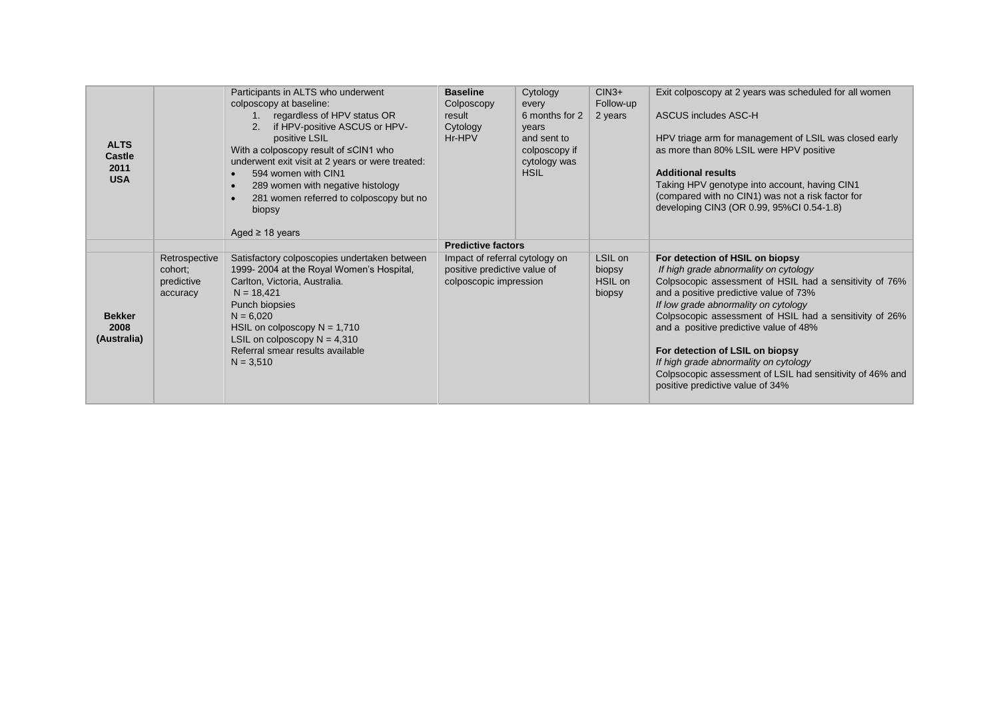| <b>ALTS</b><br><b>Castle</b><br>2011<br><b>USA</b> |                                                    | Participants in ALTS who underwent<br>colposcopy at baseline:<br>regardless of HPV status OR<br>$1_{\cdot}$<br>if HPV-positive ASCUS or HPV-<br>2.<br>positive LSIL<br>With a colposcopy result of $\leq$ CIN1 who<br>underwent exit visit at 2 years or were treated:<br>594 women with CIN1<br>289 women with negative histology<br>281 women referred to colposcopy but no<br>biopsy<br>Aged $\geq$ 18 years | <b>Baseline</b><br>Colposcopy<br>result<br>Cytology<br>Hr-HPV                            | Cytology<br>every<br>6 months for 2<br>years<br>and sent to<br>colposcopy if<br>cytology was<br><b>HSIL</b> | $CIN3+$<br>Follow-up<br>2 years        | Exit colposcopy at 2 years was scheduled for all women<br>ASCUS includes ASC-H<br>HPV triage arm for management of LSIL was closed early<br>as more than 80% LSIL were HPV positive<br><b>Additional results</b><br>Taking HPV genotype into account, having CIN1<br>(compared with no CIN1) was not a risk factor for<br>developing CIN3 (OR 0.99, 95%CI 0.54-1.8)                                                                                                                                     |
|----------------------------------------------------|----------------------------------------------------|-----------------------------------------------------------------------------------------------------------------------------------------------------------------------------------------------------------------------------------------------------------------------------------------------------------------------------------------------------------------------------------------------------------------|------------------------------------------------------------------------------------------|-------------------------------------------------------------------------------------------------------------|----------------------------------------|---------------------------------------------------------------------------------------------------------------------------------------------------------------------------------------------------------------------------------------------------------------------------------------------------------------------------------------------------------------------------------------------------------------------------------------------------------------------------------------------------------|
|                                                    |                                                    |                                                                                                                                                                                                                                                                                                                                                                                                                 | <b>Predictive factors</b>                                                                |                                                                                                             |                                        |                                                                                                                                                                                                                                                                                                                                                                                                                                                                                                         |
| <b>Bekker</b><br>2008<br>(Australia)               | Retrospective<br>cohort;<br>predictive<br>accuracy | Satisfactory colposcopies undertaken between<br>1999-2004 at the Royal Women's Hospital,<br>Carlton, Victoria, Australia.<br>$N = 18,421$<br>Punch biopsies<br>$N = 6,020$<br>HSIL on colposcopy $N = 1,710$<br>LSIL on colposcopy $N = 4,310$<br>Referral smear results available<br>$N = 3,510$                                                                                                               | Impact of referral cytology on<br>positive predictive value of<br>colposcopic impression |                                                                                                             | LSIL on<br>biopsy<br>HSIL on<br>biopsy | For detection of HSIL on biopsy<br>If high grade abnormality on cytology<br>Colpsocopic assessment of HSIL had a sensitivity of 76%<br>and a positive predictive value of 73%<br>If low grade abnormality on cytology<br>Colpsocopic assessment of HSIL had a sensitivity of 26%<br>and a positive predictive value of 48%<br>For detection of LSIL on biopsy<br>If high grade abnormality on cytology<br>Colpsocopic assessment of LSIL had sensitivity of 46% and<br>positive predictive value of 34% |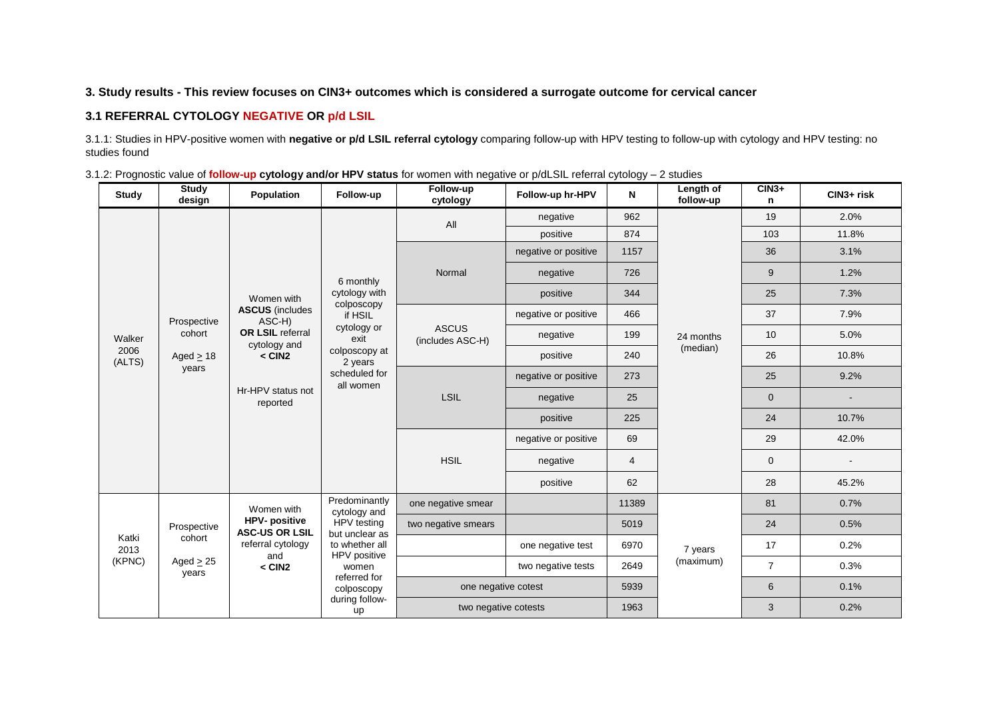## **3. Study results - This review focuses on CIN3+ outcomes which is considered a surrogate outcome for cervical cancer**

#### **3.1 REFERRAL CYTOLOGY NEGATIVE OR p/d LSIL**

3.1.1: Studies in HPV-positive women with **negative or p/d LSIL referral cytology** comparing follow-up with HPV testing to follow-up with cytology and HPV testing: no studies found

| Study                                                                        | <b>Study</b><br>design                  | Population                                   | Follow-up                        | Follow-up<br>Follow-up hr-HPV<br>cytology |                      | N              | Length of<br>follow-up | $CIN3+$<br>n   | CIN3+ risk               |
|------------------------------------------------------------------------------|-----------------------------------------|----------------------------------------------|----------------------------------|-------------------------------------------|----------------------|----------------|------------------------|----------------|--------------------------|
|                                                                              |                                         |                                              |                                  | All                                       | negative             | 962            |                        | 19             | 2.0%                     |
|                                                                              |                                         |                                              |                                  |                                           | positive             | 874            |                        | 103            | 11.8%                    |
|                                                                              |                                         |                                              |                                  |                                           | negative or positive | 1157           |                        | 36             | 3.1%                     |
|                                                                              |                                         |                                              | 6 monthly                        | Normal                                    | negative             | 726            |                        | 9              | 1.2%                     |
|                                                                              |                                         | Women with                                   | cytology with<br>colposcopy      |                                           | positive             | 344            |                        | 25             | 7.3%                     |
| Prospective<br>cohort<br>Walker<br>2006<br>Aged $\geq$ 18<br>(ALTS)<br>years |                                         | <b>ASCUS</b> (includes<br>ASC-H)             | if HSIL                          |                                           | negative or positive | 466            |                        | 37             | 7.9%                     |
|                                                                              | <b>OR LSIL referral</b><br>cytology and | cytology or<br>exit                          | <b>ASCUS</b><br>(includes ASC-H) | negative                                  | 199                  | 24 months      | 10                     | 5.0%           |                          |
|                                                                              | $<$ CIN2                                | colposcopy at<br>2 years                     |                                  | positive                                  | 240                  | (median)       | 26                     | 10.8%          |                          |
|                                                                              |                                         | Hr-HPV status not<br>reported                | scheduled for<br>all women       | LSIL                                      | negative or positive | 273            |                        | 25             | 9.2%                     |
|                                                                              |                                         |                                              |                                  |                                           | negative             | 25             |                        | $\overline{0}$ |                          |
|                                                                              |                                         |                                              |                                  |                                           | positive             | 225            |                        | 24             | 10.7%                    |
|                                                                              |                                         |                                              |                                  | <b>HSIL</b>                               | negative or positive | 69             |                        | 29             | 42.0%                    |
|                                                                              |                                         |                                              |                                  |                                           | negative             | $\overline{4}$ |                        | $\mathbf 0$    | $\overline{\phantom{a}}$ |
|                                                                              |                                         |                                              |                                  |                                           | positive             | 62             |                        | 28             | 45.2%                    |
|                                                                              |                                         | Women with                                   | Predominantly<br>cytology and    | one negative smear                        |                      | 11389          |                        | 81             | 0.7%                     |
|                                                                              | Prospective                             | <b>HPV-positive</b><br><b>ASC-US OR LSIL</b> | HPV testing<br>but unclear as    | two negative smears                       |                      | 5019           |                        | 24             | 0.5%                     |
| Katki<br>2013                                                                | cohort                                  | referral cytology<br>and                     | to whether all                   |                                           | one negative test    | 6970           | 7 years                | 17             | 0.2%                     |
| (KPNC)                                                                       | Aged $\geq$ 25<br>years                 | $<$ CIN2                                     | HPV positive<br>women            |                                           | two negative tests   | 2649           | (maximum)              | $\overline{7}$ | 0.3%                     |
|                                                                              |                                         |                                              | referred for<br>colposcopy       | one negative cotest                       |                      | 5939           |                        | 6              | 0.1%                     |
|                                                                              |                                         |                                              | during follow-<br>up             | two negative cotests                      |                      | 1963           |                        | 3              | 0.2%                     |

|  | 3.1.2: Prognostic value of <i>follow-up cytology and/or HPV status</i> for women with negative or p/dLSIL referral cytology - 2 studies |  |
|--|-----------------------------------------------------------------------------------------------------------------------------------------|--|
|  |                                                                                                                                         |  |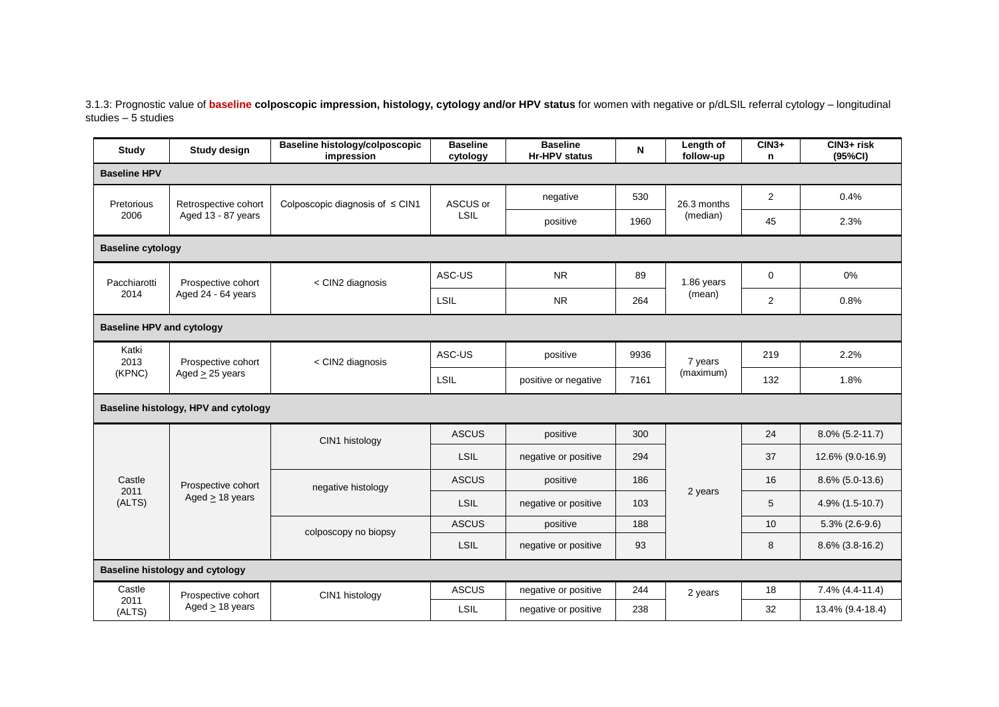3.1.3: Prognostic value of **baseline colposcopic impression, histology, cytology and/or HPV status** for women with negative or p/dLSIL referral cytology – longitudinal studies – 5 studies

| Study                            | <b>Study design</b>                    | Baseline histology/colposcopic<br>impression | <b>Baseline</b><br>cytology | <b>Baseline</b><br><b>Hr-HPV</b> status | N    | Length of<br>follow-up | $CIN3+$<br>n   | CIN3+ risk<br>(95%CI) |
|----------------------------------|----------------------------------------|----------------------------------------------|-----------------------------|-----------------------------------------|------|------------------------|----------------|-----------------------|
| <b>Baseline HPV</b>              |                                        |                                              |                             |                                         |      |                        |                |                       |
| Pretorious                       | Retrospective cohort                   | Colposcopic diagnosis of $\leq$ CIN1         | ASCUS or                    | negative                                | 530  | 26.3 months            | $\overline{2}$ | 0.4%                  |
| 2006                             | Aged 13 - 87 years                     |                                              | <b>LSIL</b>                 | positive                                | 1960 | (median)               | 45             | 2.3%                  |
| <b>Baseline cytology</b>         |                                        |                                              |                             |                                         |      |                        |                |                       |
| Pacchiarotti                     | Prospective cohort                     | < CIN2 diagnosis                             | ASC-US                      | <b>NR</b>                               | 89   | 1.86 years             | $\mathbf 0$    | 0%                    |
| 2014                             | Aged 24 - 64 years                     |                                              | LSIL                        | <b>NR</b>                               | 264  | (mean)                 | 2              | 0.8%                  |
| <b>Baseline HPV and cytology</b> |                                        |                                              |                             |                                         |      |                        |                |                       |
| Katki<br>2013                    | Prospective cohort                     | < CIN2 diagnosis                             | ASC-US                      | positive                                | 9936 | 7 years                | 219            | 2.2%                  |
| (KPNC)                           | Aged $\geq$ 25 years                   |                                              | <b>LSIL</b>                 | positive or negative                    | 7161 | (maximum)              | 132            | 1.8%                  |
|                                  | Baseline histology, HPV and cytology   |                                              |                             |                                         |      |                        |                |                       |
|                                  |                                        | CIN1 histology                               | <b>ASCUS</b>                | positive                                | 300  |                        | 24             | 8.0% (5.2-11.7)       |
|                                  |                                        |                                              | <b>LSIL</b>                 | negative or positive                    | 294  |                        | 37             | 12.6% (9.0-16.9)      |
| Castle<br>2011                   | Prospective cohort                     | negative histology                           | <b>ASCUS</b>                | positive                                | 186  |                        | 16             | 8.6% (5.0-13.6)       |
| (ALTS)                           | Aged $> 18$ years                      |                                              | <b>LSIL</b>                 | negative or positive                    | 103  | 2 years                | 5              | 4.9% (1.5-10.7)       |
|                                  |                                        | colposcopy no biopsy                         | <b>ASCUS</b>                | positive                                | 188  |                        | 10             | $5.3\%$ (2.6-9.6)     |
|                                  |                                        |                                              | <b>LSIL</b>                 | negative or positive                    | 93   |                        | 8              | $8.6\%$ (3.8-16.2)    |
|                                  | <b>Baseline histology and cytology</b> |                                              |                             |                                         |      |                        |                |                       |
| Castle                           | Prospective cohort                     | CIN1 histology                               | <b>ASCUS</b>                | negative or positive                    | 244  | 2 years                | 18             | 7.4% (4.4-11.4)       |
| 2011<br>(ALTS)                   | Aged $\geq$ 18 years                   |                                              | LSIL                        | negative or positive                    | 238  |                        | 32             | 13.4% (9.4-18.4)      |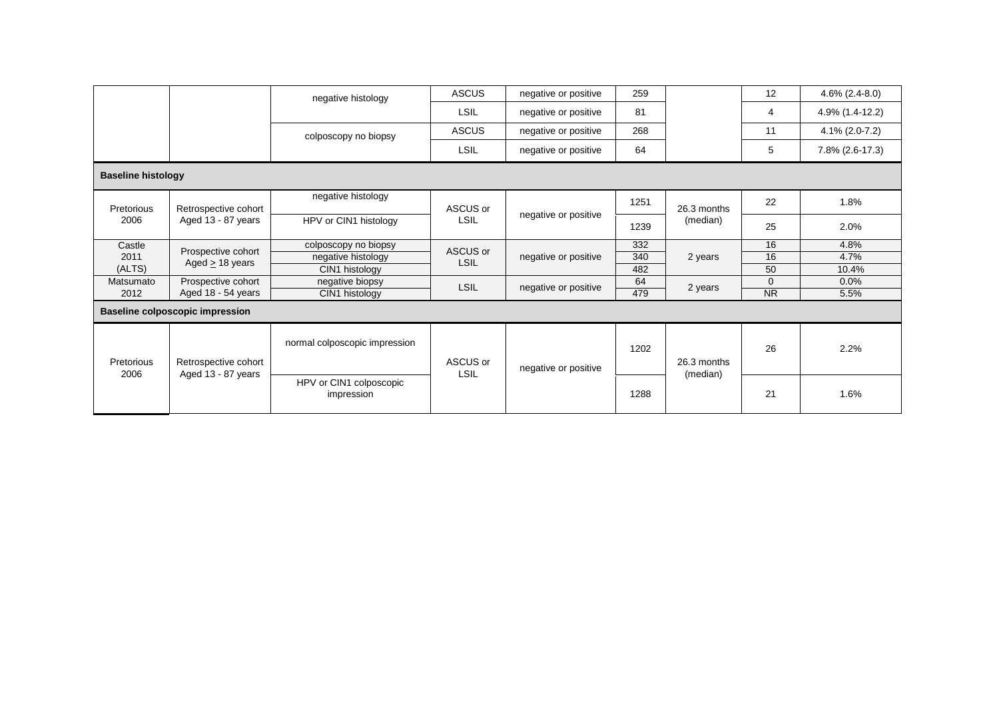|                           |                                            | negative histology                    | <b>ASCUS</b>            | negative or positive | 259  |                         | 12           | $4.6\%$ (2.4-8.0) |
|---------------------------|--------------------------------------------|---------------------------------------|-------------------------|----------------------|------|-------------------------|--------------|-------------------|
|                           |                                            |                                       | <b>LSIL</b>             | negative or positive | 81   |                         | 4            | 4.9% (1.4-12.2)   |
|                           |                                            | colposcopy no biopsy                  | <b>ASCUS</b>            | negative or positive | 268  |                         | 11           | 4.1% (2.0-7.2)    |
|                           |                                            |                                       | LSIL                    | negative or positive | 64   |                         | 5            | 7.8% (2.6-17.3)   |
| <b>Baseline histology</b> |                                            |                                       |                         |                      |      |                         |              |                   |
| Pretorious                | Retrospective cohort                       | negative histology                    | ASCUS or                |                      | 1251 | 26.3 months             | 22           | 1.8%              |
| 2006                      | Aged 13 - 87 years                         | HPV or CIN1 histology                 | <b>LSIL</b>             | negative or positive | 1239 | (median)                | 25           | 2.0%              |
| Castle                    |                                            | colposcopy no biopsy                  |                         |                      | 332  |                         | 16           | 4.8%              |
| 2011                      | Prospective cohort<br>Aged $> 18$ years    | negative histology                    | ASCUS or<br><b>LSIL</b> | negative or positive | 340  | 2 years                 | 16           | 4.7%              |
| (ALTS)                    |                                            | CIN1 histology                        |                         |                      | 482  |                         | 50           | 10.4%             |
| Matsumato                 | Prospective cohort                         | negative biopsy                       | <b>LSIL</b>             | negative or positive | 64   | 2 years                 | $\mathbf{0}$ | 0.0%              |
| 2012                      | Aged 18 - 54 years                         | CIN1 histology                        |                         |                      | 479  |                         | <b>NR</b>    | 5.5%              |
|                           | <b>Baseline colposcopic impression</b>     |                                       |                         |                      |      |                         |              |                   |
| Pretorious<br>2006        | Retrospective cohort<br>Aged 13 - 87 years | normal colposcopic impression         | ASCUS or                | negative or positive | 1202 | 26.3 months<br>(median) | 26           | 2.2%              |
|                           |                                            | HPV or CIN1 colposcopic<br>impression | <b>LSIL</b>             |                      | 1288 |                         | 21           | 1.6%              |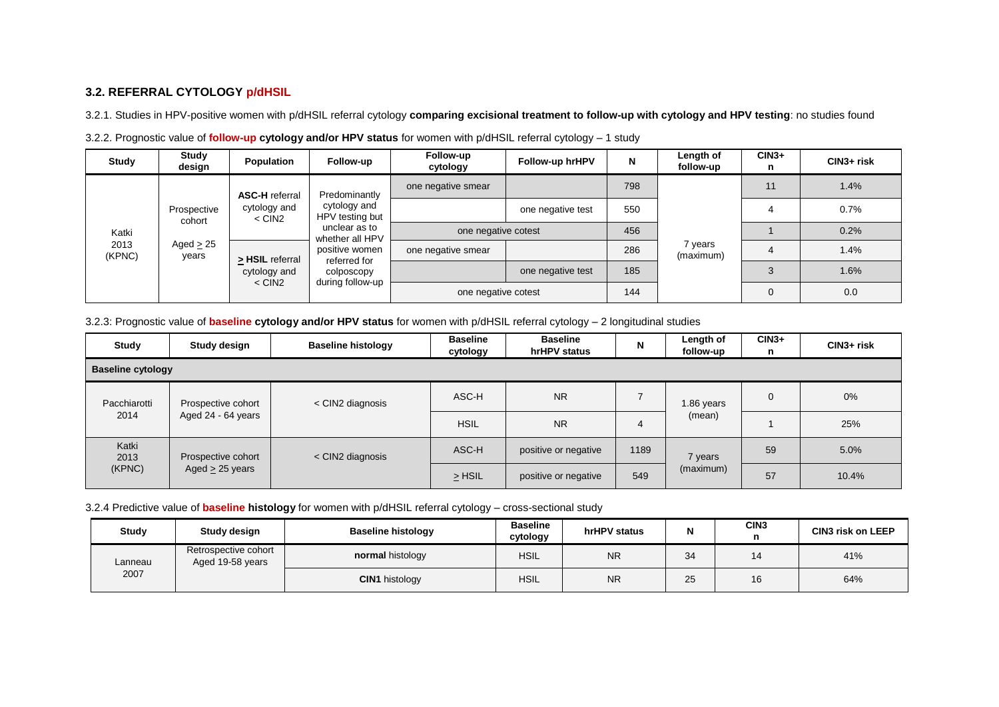## **3.2. REFERRAL CYTOLOGY p/dHSIL**

3.2.1. Studies in HPV-positive women with p/dHSIL referral cytology **comparing excisional treatment to follow-up with cytology and HPV testing**: no studies found

| Study                                          | Study<br>design          | Population                      | Follow-up                                                                                            | Follow-up<br>cytology | Follow-up hrHPV   | N   | Length of<br>follow-up | $CIN3+$<br>n | $CIN3+$ risk |
|------------------------------------------------|--------------------------|---------------------------------|------------------------------------------------------------------------------------------------------|-----------------------|-------------------|-----|------------------------|--------------|--------------|
| <b>ASC-H</b> referral<br>Prospective<br>cohort |                          |                                 | Predominantly                                                                                        | one negative smear    |                   | 798 |                        | 11           | 1.4%         |
|                                                | cytology and<br>$<$ CIN2 | cytology and<br>HPV testing but |                                                                                                      | one negative test     | 550               |     |                        | 0.7%         |              |
| Katki                                          |                          |                                 | unclear as to<br>whether all HPV<br>positive women<br>referred for<br>colposcopy<br>during follow-up | one negative cotest   |                   | 456 |                        |              | 0.2%         |
| 2013<br>(KPNC)                                 | Aged $\geq 25$<br>years  | > HSIL referral                 |                                                                                                      | one negative smear    |                   | 286 | 7 years<br>(maximum)   |              | 1.4%         |
|                                                |                          | cytology and                    |                                                                                                      |                       | one negative test | 185 |                        |              | 1.6%         |
|                                                |                          | $<$ CIN2                        |                                                                                                      | one negative cotest   |                   | 144 |                        | $\Omega$     | 0.0          |

3.2.2. Prognostic value of **follow-up cytology and/or HPV status** for women with p/dHSIL referral cytology – 1 study

3.2.3: Prognostic value of **baseline cytology and/or HPV status** for women with p/dHSIL referral cytology – 2 longitudinal studies

| Study                    | Study design         | <b>Baseline histology</b> | <b>Baseline</b><br><b>Baseline</b><br>hrHPV status<br>cytology |                      | N    | Length of<br>follow-up | $CIN3+$<br>n | $CIN3+$ risk |  |  |  |
|--------------------------|----------------------|---------------------------|----------------------------------------------------------------|----------------------|------|------------------------|--------------|--------------|--|--|--|
| <b>Baseline cytology</b> |                      |                           |                                                                |                      |      |                        |              |              |  |  |  |
| Pacchiarotti             | Prospective cohort   | < CIN2 diagnosis          | ASC-H                                                          | <b>NR</b>            |      | 1.86 years             | $\mathbf 0$  | 0%           |  |  |  |
| 2014                     | Aged 24 - 64 years   |                           | <b>HSIL</b>                                                    | <b>NR</b>            | 4    | (mean)                 |              | 25%          |  |  |  |
| Katki<br>2013            | Prospective cohort   | < CIN2 diagnosis          | ASC-H                                                          | positive or negative | 1189 | 7 years                | 59           | 5.0%         |  |  |  |
| (KPNC)                   | Aged $\geq$ 25 years |                           | $>$ HSIL                                                       | positive or negative | 549  | (maximum)              | 57           | 10.4%        |  |  |  |

#### 3.2.4 Predictive value of **baseline histology** for women with p/dHSIL referral cytology – cross-sectional study

| <b>Study</b> | Study design                             | <b>Baseline histology</b> | <b>Baseline</b><br>cytology | hrHPV status |    | CIN <sub>3</sub> | <b>CIN3 risk on LEEP</b> |
|--------------|------------------------------------------|---------------------------|-----------------------------|--------------|----|------------------|--------------------------|
| Lanneau      | Retrospective cohort<br>Aged 19-58 years | normal histology          | <b>HSIL</b>                 | <b>NR</b>    | 34 | 14               | 41%                      |
| 2007         |                                          | <b>CIN1</b> histology     | <b>HSIL</b>                 | <b>NR</b>    | 25 | 16               | 64%                      |